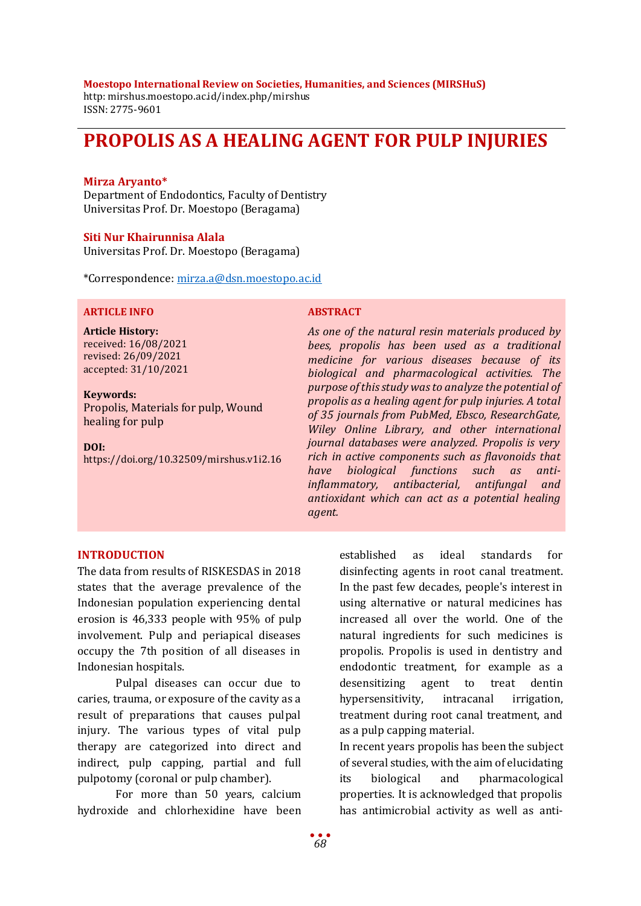#### **Moestopo International Review on Societies, Humanities, and Sciences (MIRSHuS)**

http: mirshus.moestopo.ac.id/index.php/mirshus ISSN: 2775-9601

# **PROPOLIS AS A HEALING AGENT FOR PULP INJURIES**

## **Mirza Aryanto\***

Department of Endodontics, Faculty of Dentistry Universitas Prof. Dr. Moestopo (Beragama)

#### **Siti Nur Khairunnisa Alala**

Universitas Prof. Dr. Moestopo (Beragama)

\*Correspondence: [mirza.a@dsn.moestopo.ac.id](mailto:mirza.a@dsn.moestopo.ac.id)

### **ARTICLE INFO ABSTRACT**

**Article History:** received: 16/08/2021 revised: 26/09/2021 accepted: 31/10/2021

**Keywords:** Propolis, Materials for pulp, Wound healing for pulp

**DOI:** https://doi.org/10.32509/mirshus.v1i2.16

*As one of the natural resin materials produced by bees, propolis has been used as a traditional medicine for various diseases because of its biological and pharmacological activities. The purpose of this study was to analyze the potential of propolis as a healing agent for pulp injuries. A total of 35 journals from PubMed, Ebsco, ResearchGate, Wiley Online Library, and other international journal databases were analyzed. Propolis is very rich in active components such as flavonoids that have biological functions such as antiinflammatory, antibacterial, antifungal and antioxidant which can act as a potential healing agent.* 

## **INTRODUCTION**

The data from results of RISKESDAS in 2018 states that the average prevalence of the Indonesian population experiencing dental erosion is 46,333 people with 95% of pulp involvement. Pulp and periapical diseases occupy the 7th position of all diseases in Indonesian hospitals.

Pulpal diseases can occur due to caries, trauma, or exposure of the cavity as a result of preparations that causes pulpal injury. The various types of vital pulp therapy are categorized into direct and indirect, pulp capping, partial and full pulpotomy (coronal or pulp chamber).

For more than 50 years, calcium hydroxide and chlorhexidine have been

established as ideal standards for disinfecting agents in root canal treatment. In the past few decades, people's interest in using alternative or natural medicines has increased all over the world. One of the natural ingredients for such medicines is propolis. Propolis is used in dentistry and endodontic treatment, for example as a desensitizing agent to treat dentin hypersensitivity, intracanal irrigation, treatment during root canal treatment, and as a pulp capping material.

In recent years propolis has been the subject of several studies, with the aim of elucidating its biological and pharmacological properties. It is acknowledged that propolis has antimicrobial activity as well as anti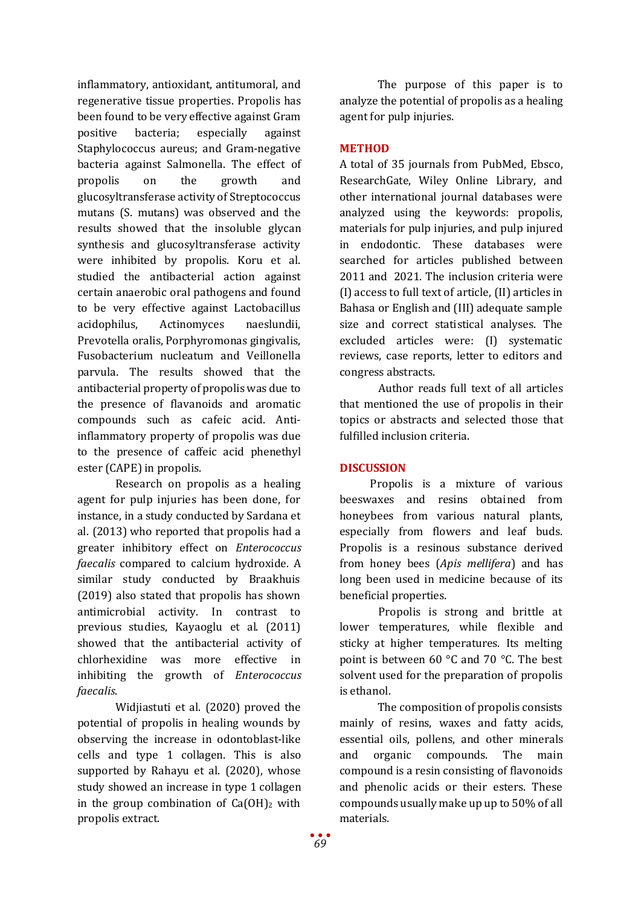inflammatory, antioxidant, antitumoral, and regenerative tissue properties. Propolis has been found to be very effective against Gram positive bacteria; especially against Staphylococcus aureus; and Gram-negative bacteria against Salmonella. The effect of propolis on the growth and glucosyltransferase activity of Streptococcus mutans (S. mutans) was observed and the results showed that the insoluble glycan synthesis and glucosyltransferase activity were inhibited by propolis. Koru et al. studied the antibacterial action against certain anaerobic oral pathogens and found to be very effective against Lactobacillus acidophilus, Actinomyces naeslundii, Prevotella oralis, Porphyromonas gingivalis, Fusobacterium nucleatum and Veillonella parvula. The results showed that the antibacterial property of propolis was due to the presence of flavanoids and aromatic compounds such as cafeic acid. Antiinflammatory property of propolis was due to the presence of caffeic acid phenethyl ester (CAPE) in propolis.

Research on propolis as a healing agent for pulp injuries has been done, for instance, in a study conducted by Sardana et al. (2013) who reported that propolis had a greater inhibitory effect on *Enterococcus faecalis* compared to calcium hydroxide. A similar study conducted by Braakhuis (2019) also stated that propolis has shown antimicrobial activity. In contrast to previous studies, Kayaoglu et al. (2011) showed that the antibacterial activity of chlorhexidine was more effective in inhibiting the growth of *Enterococcus faecalis*.

Widjiastuti et al. (2020) proved the potential of propolis in healing wounds by observing the increase in odontoblast-like cells and type 1 collagen. This is also supported by Rahayu et al. (2020), whose study showed an increase in type 1 collagen in the group combination of  $Ca(OH)_2$  with propolis extract.

The purpose of this paper is to analyze the potential of propolis as a healing agent for pulp injuries.

# **METHOD**

A total of 35 journals from PubMed, Ebsco, ResearchGate, Wiley Online Library, and other international journal databases were analyzed using the keywords: propolis, materials for pulp injuries, and pulp injured in endodontic. These databases were searched for articles published between 2011 and 2021. The inclusion criteria were (I) access to full text of article, (II) articles in Bahasa or English and (III) adequate sample size and correct statistical analyses. The excluded articles were: (I) systematic reviews, case reports, letter to editors and congress abstracts.

Author reads full text of all articles that mentioned the use of propolis in their topics or abstracts and selected those that fulfilled inclusion criteria.

# **DISCUSSION**

Propolis is a mixture of various beeswaxes and resins obtained from honeybees from various natural plants, especially from flowers and leaf buds. Propolis is a resinous substance derived from honey bees (*Apis mellifera*) and has long been used in medicine because of its beneficial properties.

Propolis is strong and brittle at lower temperatures, while flexible and sticky at higher temperatures. Its melting point is between 60 °C and 70 °C. The best solvent used for the preparation of propolis is ethanol.

The composition of propolis consists mainly of resins, waxes and fatty acids, essential oils, pollens, and other minerals and organic compounds. The main compound is a resin consisting of flavonoids and phenolic acids or their esters. These compounds usually make up up to 50% of all materials.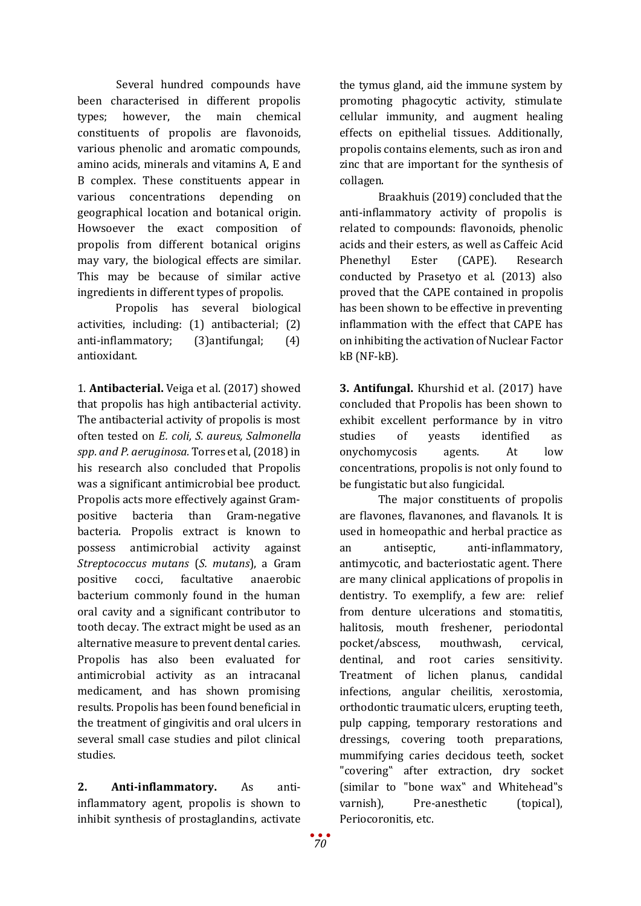Several hundred compounds have been characterised in different propolis types; however, the main chemical constituents of propolis are flavonoids, various phenolic and aromatic compounds, amino acids, minerals and vitamins A, E and B complex. These constituents appear in various concentrations depending on various concentrations depending on geographical location and botanical origin. Howsoever the exact composition of propolis from different botanical origins may vary, the biological effects are similar. This may be because of similar active ingredients in different types of propolis.

Propolis has several biological activities, including: (1) antibacterial; (2) anti-inflammatory; (3)antifungal; (4) antioxidant.

1. **Antibacterial.** Veiga et al. (2017) showed that propolis has high antibacterial activity. The antibacterial activity of propolis is most often tested on *E. coli, S. aureus, Salmonella spp. and P. aeruginosa.* Torres et al, (2018) in his research also concluded that Propolis was a significant antimicrobial bee product. Propolis acts more effectively against Grampositive bacteria than Gram-negative bacteria. Propolis extract is known to possess antimicrobial activity against *Streptococcus mutans* (*S. mutans*), a Gram positive cocci, facultative anaerobic bacterium commonly found in the human oral cavity and a significant contributor to tooth decay. The extract might be used as an alternative measure to prevent dental caries. Propolis has also been evaluated for antimicrobial activity as an intracanal medicament, and has shown promising results. Propolis has been found beneficial in the treatment of gingivitis and oral ulcers in several small case studies and pilot clinical studies.

**2. Anti-inflammatory.** As antiinflammatory agent, propolis is shown to inhibit synthesis of prostaglandins, activate

the tymus gland, aid the immune system by promoting phagocytic activity, stimulate cellular immunity, and augment healing effects on epithelial tissues. Additionally, propolis contains elements, such as iron and zinc that are important for the synthesis of collagen.

Braakhuis (2019) concluded that the anti-inflammatory activity of propolis is related to compounds: flavonoids, phenolic acids and their esters, as well as Caffeic Acid Phenethyl Ester (CAPE). Research conducted by Prasetyo et al. (2013) also proved that the CAPE contained in propolis has been shown to be effective in preventing inflammation with the effect that CAPE has on inhibiting the activation of Nuclear Factor kB (NF-kB).

**3. Antifungal.** Khurshid et al. (2017) have concluded that Propolis has been shown to exhibit excellent performance by in vitro studies of yeasts identified as onychomycosis agents. At low concentrations, propolis is not only found to be fungistatic but also fungicidal.

The major constituents of propolis are flavones, flavanones, and flavanols. It is used in homeopathic and herbal practice as an antiseptic, anti-inflammatory, antimycotic, and bacteriostatic agent. There are many clinical applications of propolis in dentistry. To exemplify, a few are: relief from denture ulcerations and stomatitis, halitosis, mouth freshener, periodontal pocket/abscess, mouthwash, cervical, dentinal, and root caries sensitivity. Treatment of lichen planus, candidal infections, angular cheilitis, xerostomia, orthodontic traumatic ulcers, erupting teeth, pulp capping, temporary restorations and dressings, covering tooth preparations, mummifying caries decidous teeth, socket "covering" after extraction, dry socket (similar to "bone wax" and Whitehead"s varnish), Pre-anesthetic (topical), Periocoronitis, etc.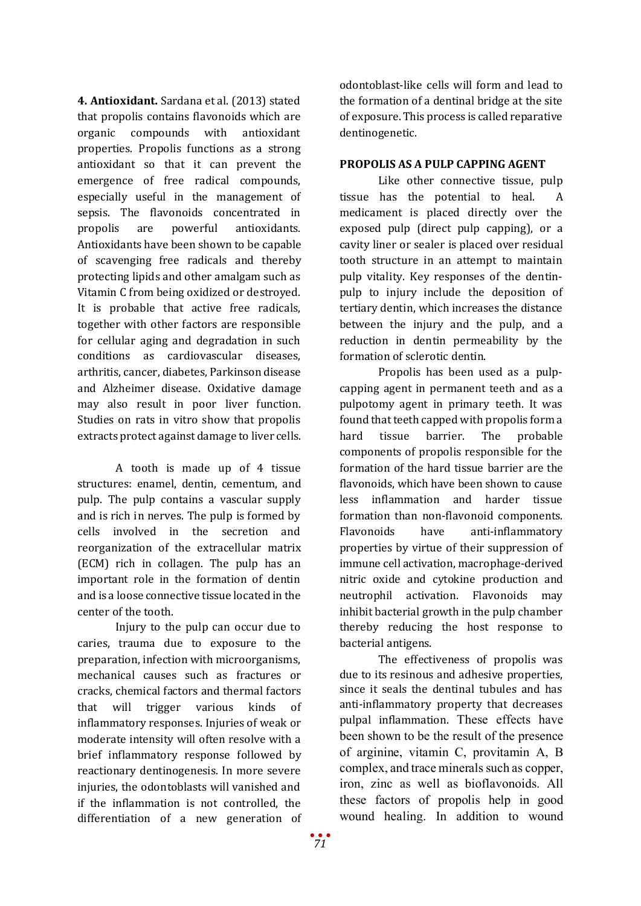**4. Antioxidant.** Sardana et al. (2013) stated that propolis contains flavonoids which are organic compounds with antioxidant properties. Propolis functions as a strong antioxidant so that it can prevent the emergence of free radical compounds, especially useful in the management of sepsis. The flavonoids concentrated in propolis are powerful antioxidants. Antioxidants have been shown to be capable of scavenging free radicals and thereby protecting lipids and other amalgam such as Vitamin C from being oxidized or destroyed. It is probable that active free radicals, together with other factors are responsible for cellular aging and degradation in such conditions as cardiovascular diseases, arthritis, cancer, diabetes, Parkinson disease and Alzheimer disease. Oxidative damage may also result in poor liver function. Studies on rats in vitro show that propolis extracts protect against damage to liver cells.

A tooth is made up of 4 tissue structures: enamel, dentin, cementum, and pulp. The pulp contains a vascular supply and is rich in nerves. The pulp is formed by cells involved in the secretion and reorganization of the extracellular matrix (ECM) rich in collagen. The pulp has an important role in the formation of dentin and is a loose connective tissue located in the center of the tooth.

Injury to the pulp can occur due to caries, trauma due to exposure to the preparation, infection with microorganisms, mechanical causes such as fractures or cracks, chemical factors and thermal factors that will trigger various kinds of inflammatory responses. Injuries of weak or moderate intensity will often resolve with a brief inflammatory response followed by reactionary dentinogenesis. In more severe injuries, the odontoblasts will vanished and if the inflammation is not controlled, the differentiation of a new generation of odontoblast-like cells will form and lead to the formation of a dentinal bridge at the site of exposure. This process is called reparative dentinogenetic.

# **PROPOLIS AS A PULP CAPPING AGENT**

Like other connective tissue, pulp tissue has the potential to heal. A medicament is placed directly over the exposed pulp (direct pulp capping), or a cavity liner or sealer is placed over residual tooth structure in an attempt to maintain pulp vitality. Key responses of the dentinpulp to injury include the deposition of tertiary dentin, which increases the distance between the injury and the pulp, and a reduction in dentin permeability by the formation of sclerotic dentin.

Propolis has been used as a pulpcapping agent in permanent teeth and as a pulpotomy agent in primary teeth. It was found that teeth capped with propolis form a hard tissue barrier. The probable components of propolis responsible for the formation of the hard tissue barrier are the flavonoids, which have been shown to cause less inflammation and harder tissue formation than non-flavonoid components. Flavonoids have anti-inflammatory properties by virtue of their suppression of immune cell activation, macrophage-derived nitric oxide and cytokine production and neutrophil activation. Flavonoids may inhibit bacterial growth in the pulp chamber thereby reducing the host response to bacterial antigens.

The effectiveness of propolis was due to its resinous and adhesive properties, since it seals the dentinal tubules and has anti-inflammatory property that decreases pulpal inflammation. These effects have been shown to be the result of the presence of arginine, vitamin C, provitamin A, B complex, and trace minerals such as copper, iron, zinc as well as bioflavonoids. All these factors of propolis help in good wound healing. In addition to wound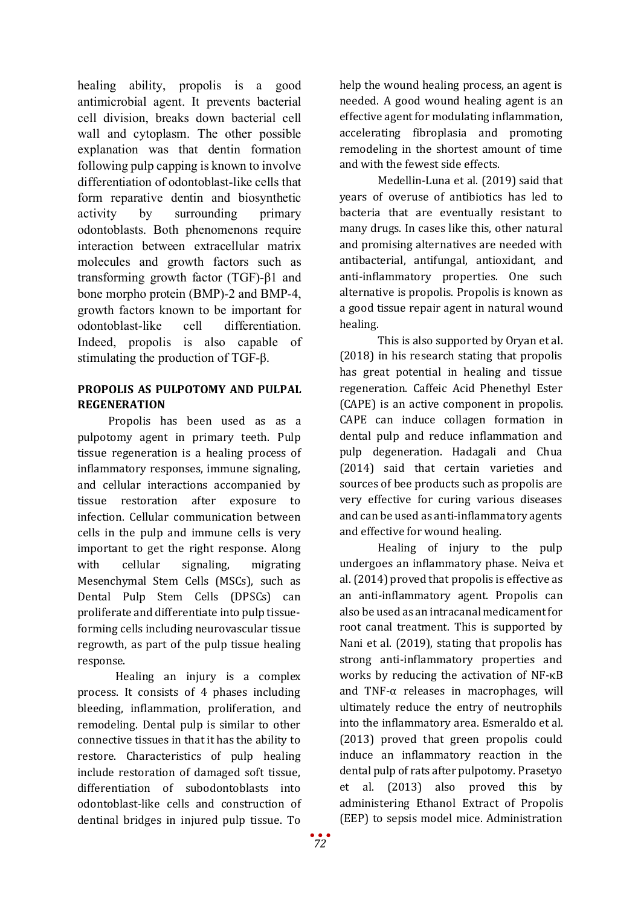healing ability, propolis is a good antimicrobial agent. It prevents bacterial cell division, breaks down bacterial cell wall and cytoplasm. The other possible explanation was that dentin formation following pulp capping is known to involve differentiation of odontoblast-like cells that form reparative dentin and biosynthetic activity by surrounding primary odontoblasts. Both phenomenons require interaction between extracellular matrix molecules and growth factors such as transforming growth factor (TGF)-β1 and bone morpho protein (BMP)-2 and BMP-4, growth factors known to be important for odontoblast-like cell differentiation. Indeed, propolis is also capable of stimulating the production of TGF-β.

# **PROPOLIS AS PULPOTOMY AND PULPAL REGENERATION**

Propolis has been used as as a pulpotomy agent in primary teeth. Pulp tissue regeneration is a healing process of inflammatory responses, immune signaling, and cellular interactions accompanied by tissue restoration after exposure to infection. Cellular communication between cells in the pulp and immune cells is very important to get the right response. Along with cellular signaling, migrating Mesenchymal Stem Cells (MSCs), such as Dental Pulp Stem Cells (DPSCs) can proliferate and differentiate into pulp tissueforming cells including neurovascular tissue regrowth, as part of the pulp tissue healing response.

Healing an injury is a complex process. It consists of 4 phases including bleeding, inflammation, proliferation, and remodeling. Dental pulp is similar to other connective tissues in that it has the ability to restore. Characteristics of pulp healing include restoration of damaged soft tissue, differentiation of subodontoblasts into odontoblast-like cells and construction of dentinal bridges in injured pulp tissue. To

help the wound healing process, an agent is needed. A good wound healing agent is an effective agent for modulating inflammation, accelerating fibroplasia and promoting remodeling in the shortest amount of time and with the fewest side effects.

Medellin-Luna et al. (2019) said that years of overuse of antibiotics has led to bacteria that are eventually resistant to many drugs. In cases like this, other natural and promising alternatives are needed with antibacterial, antifungal, antioxidant, and anti-inflammatory properties. One such alternative is propolis. Propolis is known as a good tissue repair agent in natural wound healing.

This is also supported by Oryan et al. (2018) in his research stating that propolis has great potential in healing and tissue regeneration. Caffeic Acid Phenethyl Ester (CAPE) is an active component in propolis. CAPE can induce collagen formation in dental pulp and reduce inflammation and pulp degeneration. Hadagali and Chua (2014) said that certain varieties and sources of bee products such as propolis are very effective for curing various diseases and can be used as anti-inflammatory agents and effective for wound healing.

Healing of injury to the pulp undergoes an inflammatory phase. Neiva et al. (2014) proved that propolis is effective as an anti-inflammatory agent. Propolis can also be used as an intracanal medicament for root canal treatment. This is supported by Nani et al. (2019), stating that propolis has strong anti-inflammatory properties and works by reducing the activation of NF-κB and TNF-α releases in macrophages, will ultimately reduce the entry of neutrophils into the inflammatory area. Esmeraldo et al. (2013) proved that green propolis could induce an inflammatory reaction in the dental pulp of rats after pulpotomy. Prasetyo et al. (2013) also proved this by administering Ethanol Extract of Propolis (EEP) to sepsis model mice. Administration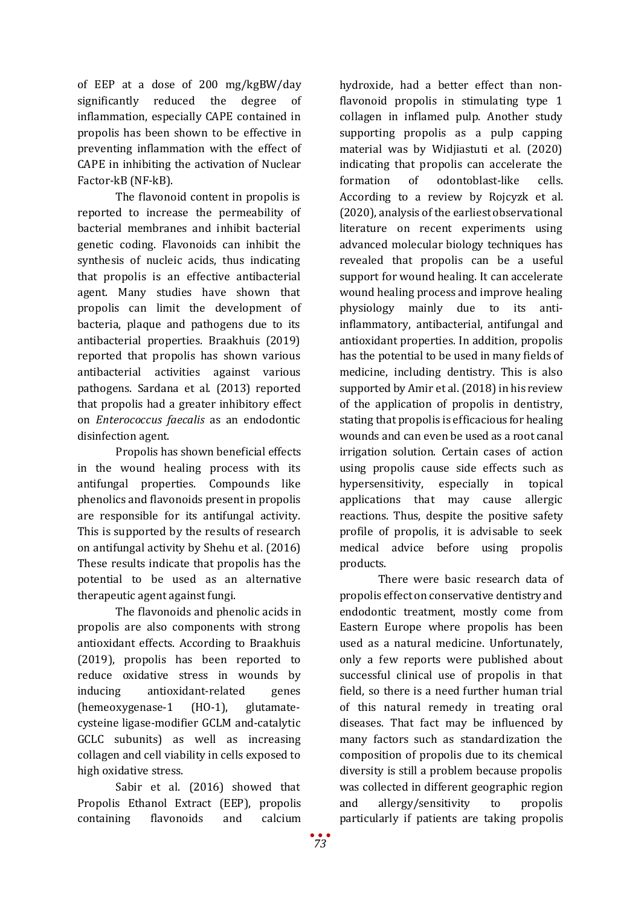of EEP at a dose of 200 mg/kgBW/day significantly reduced the degree of inflammation, especially CAPE contained in propolis has been shown to be effective in preventing inflammation with the effect of CAPE in inhibiting the activation of Nuclear Factor-kB (NF-kB).

The flavonoid content in propolis is reported to increase the permeability of bacterial membranes and inhibit bacterial genetic coding. Flavonoids can inhibit the synthesis of nucleic acids, thus indicating that propolis is an effective antibacterial agent. Many studies have shown that propolis can limit the development of bacteria, plaque and pathogens due to its antibacterial properties. Braakhuis (2019) reported that propolis has shown various antibacterial activities against various pathogens. Sardana et al. (2013) reported that propolis had a greater inhibitory effect on *Enterococcus faecalis* as an endodontic disinfection agent.

Propolis has shown beneficial effects in the wound healing process with its antifungal properties. Compounds like phenolics and flavonoids present in propolis are responsible for its antifungal activity. This is supported by the results of research on antifungal activity by Shehu et al. (2016) These results indicate that propolis has the potential to be used as an alternative therapeutic agent against fungi.

The flavonoids and phenolic acids in propolis are also components with strong antioxidant effects. According to Braakhuis (2019), propolis has been reported to reduce oxidative stress in wounds by inducing antioxidant-related genes (hemeoxygenase-1 (HO-1), glutamatecysteine ligase-modifier GCLM and-catalytic GCLC subunits) as well as increasing collagen and cell viability in cells exposed to high oxidative stress.

Sabir et al. (2016) showed that Propolis Ethanol Extract (EEP), propolis containing flavonoids and calcium

hydroxide, had a better effect than nonflavonoid propolis in stimulating type 1 collagen in inflamed pulp. Another study supporting propolis as a pulp capping material was by Widjiastuti et al. (2020) indicating that propolis can accelerate the formation of odontoblast-like cells. According to a review by Rojcyzk et al. (2020), analysis of the earliest observational literature on recent experiments using advanced molecular biology techniques has revealed that propolis can be a useful support for wound healing. It can accelerate wound healing process and improve healing physiology mainly due to its antiinflammatory, antibacterial, antifungal and antioxidant properties. In addition, propolis has the potential to be used in many fields of medicine, including dentistry. This is also supported by Amir et al. (2018) in his review of the application of propolis in dentistry, stating that propolis is efficacious for healing wounds and can even be used as a root canal irrigation solution. Certain cases of action using propolis cause side effects such as hypersensitivity, especially in topical applications that may cause allergic reactions. Thus, despite the positive safety profile of propolis, it is advisable to seek medical advice before using propolis products.

There were basic research data of propolis effect on conservative dentistry and endodontic treatment, mostly come from Eastern Europe where propolis has been used as a natural medicine. Unfortunately, only a few reports were published about successful clinical use of propolis in that field, so there is a need further human trial of this natural remedy in treating oral diseases. That fact may be influenced by many factors such as standardization the composition of propolis due to its chemical diversity is still a problem because propolis was collected in different geographic region and allergy/sensitivity to propolis particularly if patients are taking propolis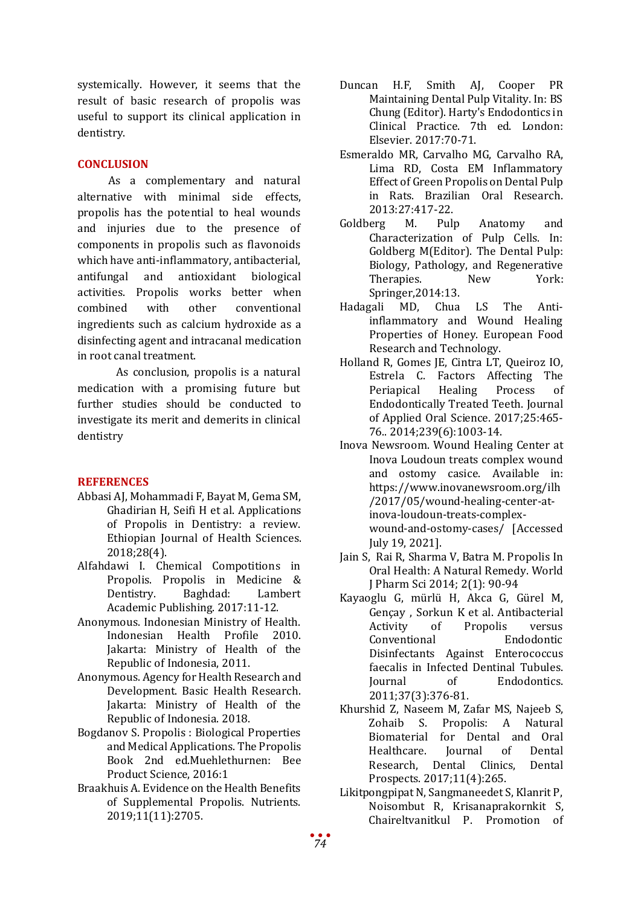systemically. However, it seems that the result of basic research of propolis was useful to support its clinical application in dentistry.

# **CONCLUSION**

As a complementary and natural alternative with minimal side effects, propolis has the potential to heal wounds and injuries due to the presence of components in propolis such as flavonoids which have anti-inflammatory, antibacterial, antifungal and antioxidant biological activities. Propolis works better when combined with other conventional ingredients such as calcium hydroxide as a disinfecting agent and intracanal medication in root canal treatment.

As conclusion, propolis is a natural medication with a promising future but further studies should be conducted to investigate its merit and demerits in clinical dentistry

# **REFERENCES**

- Abbasi AJ, Mohammadi F, Bayat M, Gema SM, Ghadirian H, Seifi H et al. Applications of Propolis in Dentistry: a review. Ethiopian Journal of Health Sciences. 2018;28(4).
- Alfahdawi I. Chemical Compotitions in Propolis. Propolis in Medicine & Dentistry. Academic Publishing. 2017:11-12.
- Anonymous. Indonesian Ministry of Health. Indonesian Health Profile 2010. Jakarta: Ministry of Health of the Republic of Indonesia, 2011.
- Anonymous. Agency for Health Research and Development. Basic Health Research. Jakarta: Ministry of Health of the Republic of Indonesia. 2018.
- Bogdanov S. Propolis : Biological Properties and Medical Applications. The Propolis Book 2nd ed.Muehlethurnen: Bee Product Science, 2016:1
- Braakhuis A. Evidence on the Health Benefits of Supplemental Propolis. Nutrients. 2019;11(11):2705.
- Duncan H.F, Smith AJ, Cooper PR Maintaining Dental Pulp Vitality. In: BS Chung (Editor). Harty's Endodontics in Clinical Practice. 7th ed. London: Elsevier. 2017:70-71.
- Esmeraldo MR, Carvalho MG, Carvalho RA, Lima RD, Costa EM Inflammatory Effect of Green Propolis on Dental Pulp in Rats. Brazilian Oral Research. 2013:27:417-22.<br>Goldberg M. Pulp
- Anatomy and Characterization of Pulp Cells. In: Goldberg M(Editor). The Dental Pulp: Biology, Pathology, and Regenerative<br>Theranies Mew York: Therapies.
- Springer, 2014:13.<br>Hadagali MD, Chua Chua LS The Antiinflammatory and Wound Healing Properties of Honey. European Food Research and Technology.
- Holland R, Gomes JE, Cintra LT, Queiroz IO, Estrela C. Factors Affecting The Periapical Endodontically Treated Teeth. Journal of Applied Oral Science. 2017;25:465- 76.. 2014;239(6):1003-14.
- Inova Newsroom. Wound Healing Center at Inova Loudoun treats complex wound and ostomy casice. Available in: [https://www.inovanewsroom.org/ilh](https://www.inovanewsroom.org/ilh/2017/05/wound-healing-center-at-inova-loudoun-treats-complex-wound-and-ostomy-cases/) [/2017/05/wound-healing-center-at](https://www.inovanewsroom.org/ilh/2017/05/wound-healing-center-at-inova-loudoun-treats-complex-wound-and-ostomy-cases/)[inova-loudoun-treats-complex](https://www.inovanewsroom.org/ilh/2017/05/wound-healing-center-at-inova-loudoun-treats-complex-wound-and-ostomy-cases/)[wound-and-ostomy-cases/](https://www.inovanewsroom.org/ilh/2017/05/wound-healing-center-at-inova-loudoun-treats-complex-wound-and-ostomy-cases/) [Accessed July 19, 2021].
- Jain S, Rai R, Sharma V, Batra M. Propolis In Oral Health: A Natural Remedy. World J Pharm Sci 2014; 2(1): 90-94
- Kayaoglu G, mürlü H, Akca G, Gürel M, Gençay, Sorkun K et al. Antibacterial<br>Activity of Propolis versus Activity of Propolis versus<br>Conventional Endodontic Conventional Disinfectants Against Enterococcus faecalis in Infected Dentinal Tubules.<br>
Iournal of Endodontics. Endodontics. 2011;37(3):376-81.
- Khurshid Z, Naseem M, Zafar MS, Najeeb S, A Natural Biomaterial for Dental and Oral<br>Healthcare. Iournal of Dental Healthcare. Journal of Dental<br>Research. Dental Clinics. Dental Research, Dental Clinics, Prospects. 2017;11(4):265.
- Likitpongpipat N, Sangmaneedet S, Klanrit P, Noisombut R, Krisanaprakornkit S, Chaireltvanitkul P. Promotion of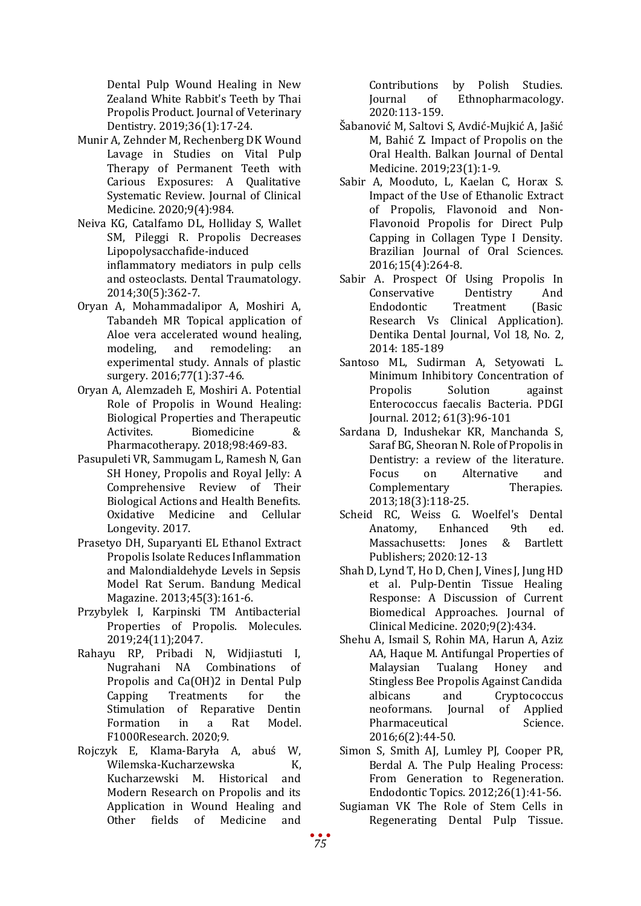Dental Pulp Wound Healing in New Zealand White Rabbit's Teeth by Thai Propolis Product. Journal of Veterinary Dentistry. 2019;36(1):17-24.

- Munir A, Zehnder M, Rechenberg DK Wound Lavage in Studies on Vital Pulp Therapy of Permanent Teeth with Carious Exposures: A Qualitative Systematic Review. Journal of Clinical Medicine. 2020;9(4):984.
- Neiva KG, Catalfamo DL, Holliday S, Wallet SM, Pileggi R. Propolis Decreases Lipopolysacchafide-induced inflammatory mediators in pulp cells and osteoclasts. Dental Traumatology. 2014;30(5):362-7.
- Oryan A, Mohammadalipor A, Moshiri A, Tabandeh MR Topical application of Aloe vera accelerated wound healing,<br>modeling, and remodeling: an modeling, and remodeling: an experimental study. Annals of plastic surgery. 2016;77(1):37-46.
- Oryan A, Alemzadeh E, Moshiri A. Potential Role of Propolis in Wound Healing: Biological Properties and Therapeutic<br>Activites. Biomedicine & **Biomedicine** Pharmacotherapy. 2018;98:469-83.
- Pasupuleti VR, Sammugam L, Ramesh N, Gan SH Honey, Propolis and Royal Jelly: A Comprehensive Review of Their Biological Actions and Health Benefits. Oxidative Medicine and Cellular Longevity. 2017.
- Prasetyo DH, Suparyanti EL Ethanol Extract Propolis Isolate Reduces Inflammation and Malondialdehyde Levels in Sepsis Model Rat Serum. Bandung Medical Magazine. 2013;45(3):161-6.
- Przybylek I, Karpinski TM Antibacterial Properties of Propolis. Molecules. 2019;24(11);2047.
- Rahayu RP, Pribadi N, Widjiastuti I, Nugrahani NA Propolis and Ca(OH)2 in Dental Pulp<br>Capping Treatments for the Treatments Stimulation of Reparative Dentin<br>Formation in a Rat Model. Formation F1000Research. 2020;9.
- Rojczyk E, Klama-Baryła A, abuś W, Wilemska-Kucharzewska K,<br>Kucharzewski M. Historical and Kucharzewski M. Historical Modern Research on Propolis and its Application in Wound Healing and<br>Other fields of Medicine and **Medicine**

Contributions by Polish Studies.<br>
Iournal of Ethnopharmacology. Ethnopharmacology. 2020:113-159.

- Šabanović M, Saltovi S, Avdić-Mujkić A, Jašić M, Bahić Z. Impact of Propolis on the Oral Health. Balkan Journal of Dental Medicine. 2019;23(1):1-9.
- Sabir A, Mooduto, L, Kaelan C, Horax S. Impact of the Use of Ethanolic Extract of Propolis, Flavonoid and Non-Flavonoid Propolis for Direct Pulp Capping in Collagen Type I Density. Brazilian Journal of Oral Sciences. 2016;15(4):264-8.
- Sabir A. Prospect Of Using Propolis In Conservative Dentistry And<br>Endodontic Treatment (Basic Treatment Research Vs Clinical Application). Dentika Dental Journal, Vol 18, No. 2, 2014: 185-189
- Santoso ML, Sudirman A, Setyowati L. Minimum Inhibitory Concentration of<br>Propolis Solution against Propolis Enterococcus faecalis Bacteria. PDGI Journal. 2012; 61(3):96-101
- Sardana D, Indushekar KR, Manchanda S, Saraf BG, Sheoran N. Role of Propolis in Dentistry: a review of the literature.<br>Focus on Alternative and on Alternative and<br>
entary Therapies. Complementary 2013;18(3):118-25.
- Scheid RC, Weiss G. Woelfel's Dental<br>Anatomy. Enhanced 9th ed. Enhanced 9th ed.<br>s: Jones & Bartlett Massachusetts: Publishers; 2020:12-13
- Shah D, Lynd T, Ho D, Chen J, Vines J, Jung HD et al. Pulp-Dentin Tissue Healing Response: A Discussion of Current Biomedical Approaches. Journal of Clinical Medicine. 2020;9(2):434.
- Shehu A, Ismail S, Rohin MA, Harun A, Aziz AA, Haque M. Antifungal Properties of<br>Malavsian Tualang Honey and Malaysian Stingless Bee Propolis Against Candida<br>albicans and Cryptococcus and Cryptococcus<br>
Journal of Applied neoformans. Journal of Applied<br>Pharmaceutical Science. Pharmaceutical 2016;6(2):44-50.
- Simon S, Smith AJ, Lumley PJ, Cooper PR, Berdal A. The Pulp Healing Process: From Generation to Regeneration. Endodontic Topics. 2012;26(1):41-56.
- Sugiaman VK The Role of Stem Cells in Regenerating Dental Pulp Tissue.